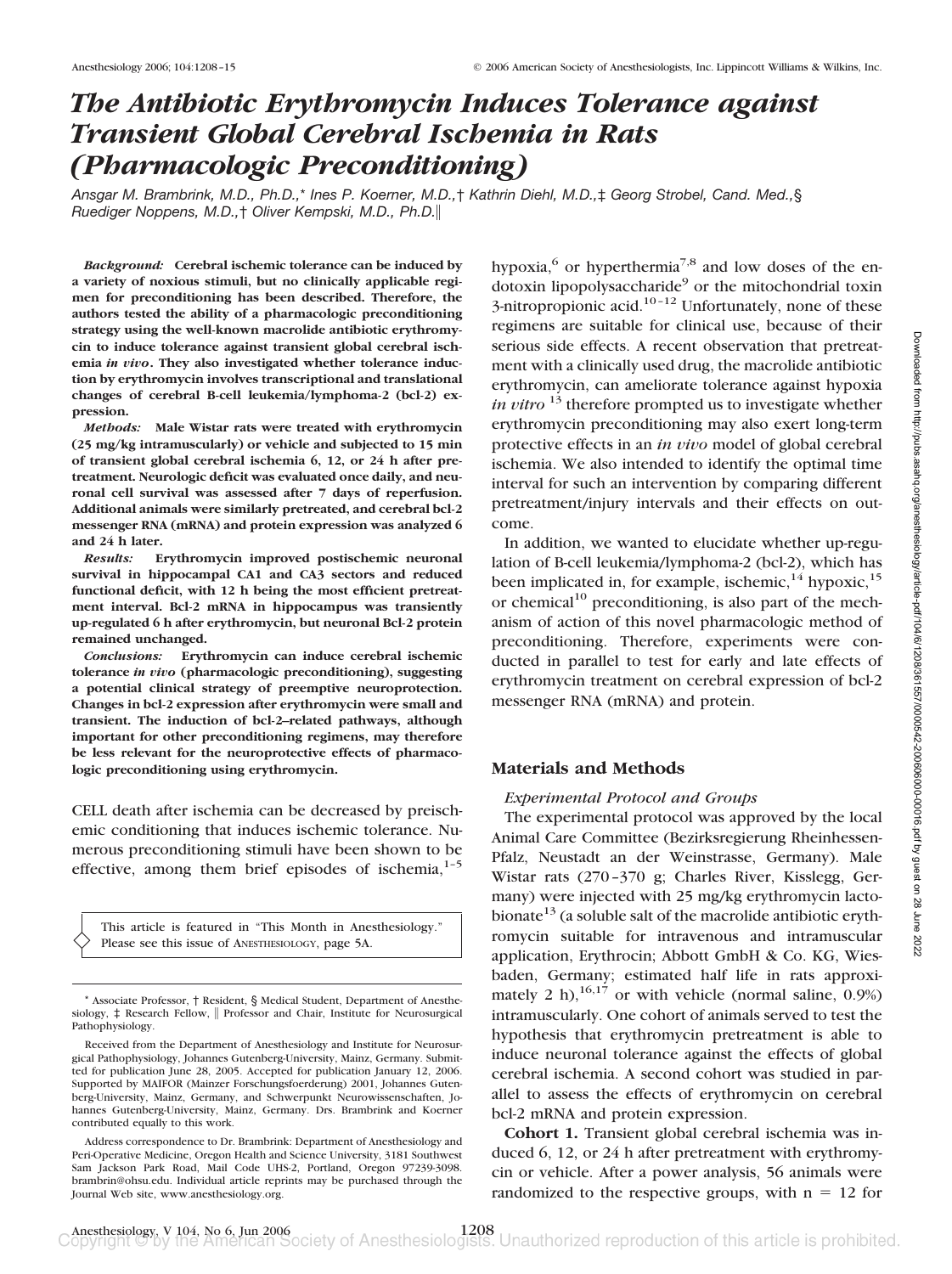# *The Antibiotic Erythromycin Induces Tolerance against Transient Global Cerebral Ischemia in Rats (Pharmacologic Preconditioning)*

*Ansgar M. Brambrink, M.D., Ph.D.,*\* *Ines P. Koerner, M.D.,*† *Kathrin Diehl, M.D.,*‡ *Georg Strobel, Cand. Med.,*§ *Ruediger Noppens, M.D.,*† *Oliver Kempski, M.D., Ph.D.*

*Background:* **Cerebral ischemic tolerance can be induced by a variety of noxious stimuli, but no clinically applicable regimen for preconditioning has been described. Therefore, the authors tested the ability of a pharmacologic preconditioning strategy using the well-known macrolide antibiotic erythromycin to induce tolerance against transient global cerebral ischemia** *in vivo***. They also investigated whether tolerance induction by erythromycin involves transcriptional and translational changes of cerebral B-cell leukemia/lymphoma-2 (bcl-2) expression.**

*Methods:* **Male Wistar rats were treated with erythromycin (25 mg/kg intramuscularly) or vehicle and subjected to 15 min of transient global cerebral ischemia 6, 12, or 24 h after pretreatment. Neurologic deficit was evaluated once daily, and neuronal cell survival was assessed after 7 days of reperfusion. Additional animals were similarly pretreated, and cerebral bcl-2 messenger RNA (mRNA) and protein expression was analyzed 6 and 24 h later.**

*Results:* **Erythromycin improved postischemic neuronal survival in hippocampal CA1 and CA3 sectors and reduced functional deficit, with 12 h being the most efficient pretreatment interval. Bcl-2 mRNA in hippocampus was transiently up-regulated 6 h after erythromycin, but neuronal Bcl-2 protein remained unchanged.**

*Conclusions:* **Erythromycin can induce cerebral ischemic tolerance** *in vivo* **(pharmacologic preconditioning), suggesting a potential clinical strategy of preemptive neuroprotection. Changes in bcl-2 expression after erythromycin were small and transient. The induction of bcl-2–related pathways, although important for other preconditioning regimens, may therefore be less relevant for the neuroprotective effects of pharmacologic preconditioning using erythromycin.**

CELL death after ischemia can be decreased by preischemic conditioning that induces ischemic tolerance. Numerous preconditioning stimuli have been shown to be effective, among them brief episodes of ischemia, $1-5$ 

This article is featured in "This Month in Anesthesiology." Please see this issue of ANESTHESIOLOGY, page 5A.

hypoxia, $^{6}$  or hyperthermia<sup>7,8</sup> and low doses of the en $dotoxin$  lipopolysaccharide<sup>9</sup> or the mitochondrial toxin  $3$ -nitropropionic acid.<sup>10–12</sup> Unfortunately, none of these regimens are suitable for clinical use, because of their serious side effects. A recent observation that pretreatment with a clinically used drug, the macrolide antibiotic erythromycin, can ameliorate tolerance against hypoxia *in vitro* <sup>13</sup> therefore prompted us to investigate whether erythromycin preconditioning may also exert long-term protective effects in an *in vivo* model of global cerebral ischemia. We also intended to identify the optimal time interval for such an intervention by comparing different pretreatment/injury intervals and their effects on outcome.

In addition, we wanted to elucidate whether up-regulation of B-cell leukemia/lymphoma-2 (bcl-2), which has been implicated in, for example, ischemic,  $14$  hypoxic,  $15$ or chemical<sup>10</sup> preconditioning, is also part of the mechanism of action of this novel pharmacologic method of preconditioning. Therefore, experiments were conducted in parallel to test for early and late effects of erythromycin treatment on cerebral expression of bcl-2 messenger RNA (mRNA) and protein.

#### **Materials and Methods**

#### *Experimental Protocol and Groups*

The experimental protocol was approved by the local Animal Care Committee (Bezirksregierung Rheinhessen-Pfalz, Neustadt an der Weinstrasse, Germany). Male Wistar rats (270–370 g; Charles River, Kisslegg, Germany) were injected with 25 mg/kg erythromycin lactobionate<sup>13</sup> (a soluble salt of the macrolide antibiotic erythromycin suitable for intravenous and intramuscular application, Erythrocin; Abbott GmbH & Co. KG, Wiesbaden, Germany; estimated half life in rats approximately 2 h),  $^{16,17}$  or with vehicle (normal saline, 0.9%) intramuscularly. One cohort of animals served to test the hypothesis that erythromycin pretreatment is able to induce neuronal tolerance against the effects of global cerebral ischemia. A second cohort was studied in parallel to assess the effects of erythromycin on cerebral bcl-2 mRNA and protein expression.

**Cohort 1.** Transient global cerebral ischemia was induced 6, 12, or 24 h after pretreatment with erythromycin or vehicle. After a power analysis, 56 animals were randomized to the respective groups, with  $n = 12$  for

<sup>\*</sup> Associate Professor, † Resident, § Medical Student, Department of Anesthesiology,  $\ddagger$  Research Fellow, || Professor and Chair, Institute for Neurosurgical Pathophysiology.

Received from the Department of Anesthesiology and Institute for Neurosurgical Pathophysiology, Johannes Gutenberg-University, Mainz, Germany. Submitted for publication June 28, 2005. Accepted for publication January 12, 2006. Supported by MAIFOR (Mainzer Forschungsfoerderung) 2001, Johannes Gutenberg-University, Mainz, Germany, and Schwerpunkt Neurowissenschaften, Johannes Gutenberg-University, Mainz, Germany. Drs. Brambrink and Koerner contributed equally to this work.

Address correspondence to Dr. Brambrink: Department of Anesthesiology and Peri-Operative Medicine, Oregon Health and Science University, 3181 Southwest Sam Jackson Park Road, Mail Code UHS-2, Portland, Oregon 97239-3098. brambrin@ohsu.edu. Individual article reprints may be purchased through the Journal Web site, www.anesthesiology.org.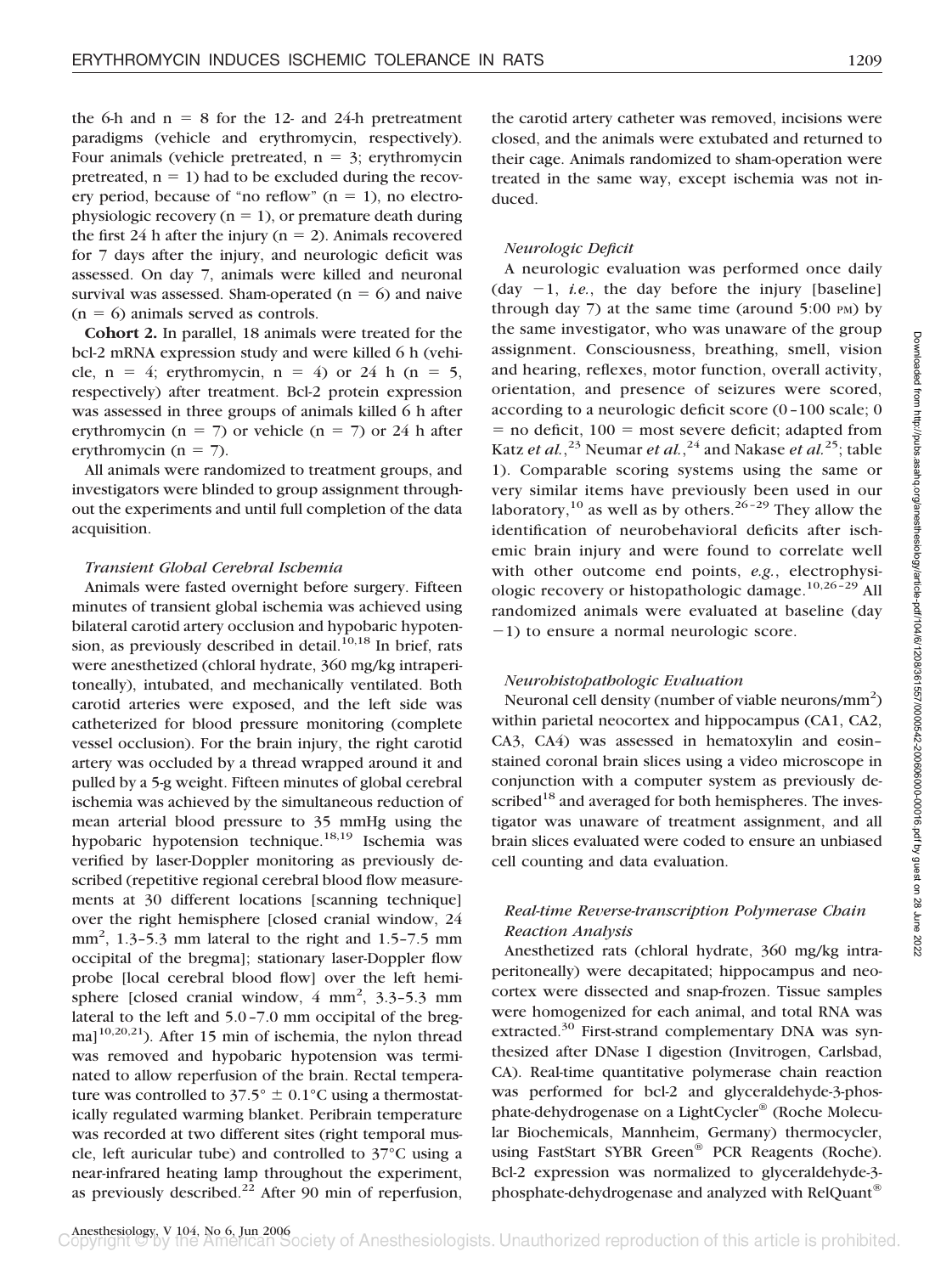the 6-h and  $n = 8$  for the 12- and 24-h pretreatment paradigms (vehicle and erythromycin, respectively). Four animals (vehicle pretreated,  $n = 3$ ; erythromycin pretreated,  $n = 1$ ) had to be excluded during the recovery period, because of "no reflow"  $(n = 1)$ , no electrophysiologic recovery  $(n = 1)$ , or premature death during the first 24 h after the injury ( $n = 2$ ). Animals recovered for 7 days after the injury, and neurologic deficit was assessed. On day 7, animals were killed and neuronal survival was assessed. Sham-operated ( $n = 6$ ) and naive  $(n = 6)$  animals served as controls.

**Cohort 2.** In parallel, 18 animals were treated for the bcl-2 mRNA expression study and were killed 6 h (vehicle,  $n = 4$ ; erythromycin,  $n = 4$ ) or 24 h ( $n = 5$ , respectively) after treatment. Bcl-2 protein expression was assessed in three groups of animals killed 6 h after erythromycin ( $n = 7$ ) or vehicle ( $n = 7$ ) or 24 h after erythromycin ( $n = 7$ ).

All animals were randomized to treatment groups, and investigators were blinded to group assignment throughout the experiments and until full completion of the data acquisition.

#### *Transient Global Cerebral Ischemia*

Animals were fasted overnight before surgery. Fifteen minutes of transient global ischemia was achieved using bilateral carotid artery occlusion and hypobaric hypotension, as previously described in detail.<sup>10,18</sup> In brief, rats were anesthetized (chloral hydrate, 360 mg/kg intraperitoneally), intubated, and mechanically ventilated. Both carotid arteries were exposed, and the left side was catheterized for blood pressure monitoring (complete vessel occlusion). For the brain injury, the right carotid artery was occluded by a thread wrapped around it and pulled by a 5-g weight. Fifteen minutes of global cerebral ischemia was achieved by the simultaneous reduction of mean arterial blood pressure to 35 mmHg using the hypobaric hypotension technique.18,19 Ischemia was verified by laser-Doppler monitoring as previously described (repetitive regional cerebral blood flow measurements at 30 different locations [scanning technique] over the right hemisphere [closed cranial window, 24  $mm<sup>2</sup>$ , 1.3-5.3 mm lateral to the right and 1.5-7.5 mm occipital of the bregma]; stationary laser-Doppler flow probe [local cerebral blood flow] over the left hemisphere [closed cranial window,  $4 \text{ mm}^2$ ,  $3.3-5.3 \text{ mm}$ lateral to the left and 5.0–7.0 mm occipital of the bregma $]^{10,20,21}$ ). After 15 min of ischemia, the nylon thread was removed and hypobaric hypotension was terminated to allow reperfusion of the brain. Rectal temperature was controlled to  $37.5^{\circ} \pm 0.1^{\circ}$ C using a thermostatically regulated warming blanket. Peribrain temperature was recorded at two different sites (right temporal muscle, left auricular tube) and controlled to 37°C using a near-infrared heating lamp throughout the experiment, as previously described. $^{22}$  After 90 min of reperfusion,

the carotid artery catheter was removed, incisions were closed, and the animals were extubated and returned to their cage. Animals randomized to sham-operation were treated in the same way, except ischemia was not induced.

## *Neurologic Deficit*

A neurologic evaluation was performed once daily (day  $-1$ , *i.e.*, the day before the injury [baseline] through day  $7$ ) at the same time (around  $5:00 \text{ PM}$ ) by the same investigator, who was unaware of the group assignment. Consciousness, breathing, smell, vision and hearing, reflexes, motor function, overall activity, orientation, and presence of seizures were scored, according to a neurologic deficit score (0–100 scale; 0  $=$  no deficit, 100  $=$  most severe deficit; adapted from Katz *et al.*,<sup>23</sup> Neumar *et al.*,<sup>24</sup> and Nakase *et al*.<sup>25</sup>; table 1). Comparable scoring systems using the same or very similar items have previously been used in our laboratory,  $^{10}$  as well as by others.  $^{26-29}$  They allow the identification of neurobehavioral deficits after ischemic brain injury and were found to correlate well with other outcome end points, *e.g.*, electrophysiologic recovery or histopathologic damage.<sup>10,26-29</sup> All randomized animals were evaluated at baseline (day  $-1$ ) to ensure a normal neurologic score.

#### *Neurohistopathologic Evaluation*

Neuronal cell density (number of viable neurons/ $\text{mm}^2$ ) within parietal neocortex and hippocampus (CA1, CA2, CA3, CA4) was assessed in hematoxylin and eosin– stained coronal brain slices using a video microscope in conjunction with a computer system as previously described<sup>18</sup> and averaged for both hemispheres. The investigator was unaware of treatment assignment, and all brain slices evaluated were coded to ensure an unbiased cell counting and data evaluation.

# *Real-time Reverse-transcription Polymerase Chain Reaction Analysis*

Anesthetized rats (chloral hydrate, 360 mg/kg intraperitoneally) were decapitated; hippocampus and neocortex were dissected and snap-frozen. Tissue samples were homogenized for each animal, and total RNA was extracted.<sup>30</sup> First-strand complementary DNA was synthesized after DNase I digestion (Invitrogen, Carlsbad, CA). Real-time quantitative polymerase chain reaction was performed for bcl-2 and glyceraldehyde-3-phosphate-dehydrogenase on a LightCycler® (Roche Molecular Biochemicals, Mannheim, Germany) thermocycler, using FastStart SYBR Green® PCR Reagents (Roche). Bcl-2 expression was normalized to glyceraldehyde-3 phosphate-dehydrogenase and analyzed with RelQuant®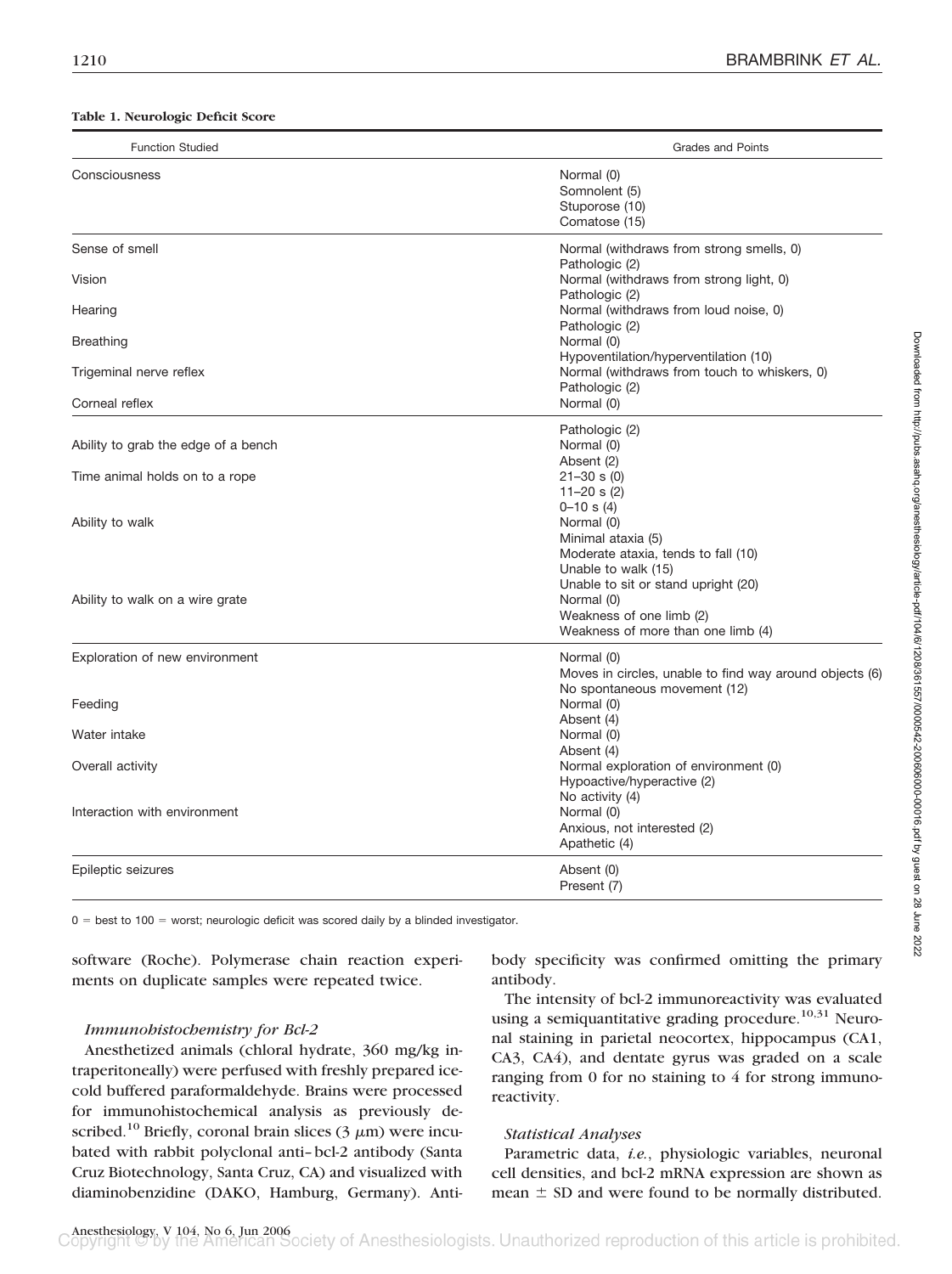#### **Table 1. Neurologic Deficit Score**

| <b>Function Studied</b>             | <b>Grades and Points</b>                                                                                            |
|-------------------------------------|---------------------------------------------------------------------------------------------------------------------|
| Consciousness                       | Normal (0)<br>Somnolent (5)<br>Stuporose (10)<br>Comatose (15)                                                      |
| Sense of smell                      | Normal (withdraws from strong smells, 0)                                                                            |
| Vision                              | Pathologic (2)<br>Normal (withdraws from strong light, 0)<br>Pathologic (2)                                         |
| Hearing                             | Normal (withdraws from loud noise, 0)<br>Pathologic (2)                                                             |
| <b>Breathing</b>                    | Normal (0)<br>Hypoventilation/hyperventilation (10)                                                                 |
| Trigeminal nerve reflex             | Normal (withdraws from touch to whiskers, 0)<br>Pathologic (2)                                                      |
| Corneal reflex                      | Normal (0)                                                                                                          |
| Ability to grab the edge of a bench | Pathologic (2)<br>Normal (0)<br>Absent (2)                                                                          |
| Time animal holds on to a rope      | $21 - 30$ s (0)<br>$11 - 20$ s (2)<br>$0 - 10$ s (4)                                                                |
| Ability to walk                     | Normal (0)<br>Minimal ataxia (5)<br>Moderate ataxia, tends to fall (10)<br>Unable to walk (15)                      |
| Ability to walk on a wire grate     | Unable to sit or stand upright (20)<br>Normal (0)<br>Weakness of one limb (2)<br>Weakness of more than one limb (4) |
| Exploration of new environment      | Normal (0)<br>Moves in circles, unable to find way around objects (6)<br>No spontaneous movement (12)               |
| Feeding                             | Normal (0)<br>Absent (4)                                                                                            |
| Water intake                        | Normal (0)                                                                                                          |
| Overall activity                    | Absent (4)<br>Normal exploration of environment (0)<br>Hypoactive/hyperactive (2)                                   |
| Interaction with environment        | No activity (4)<br>Normal (0)<br>Anxious, not interested (2)<br>Apathetic (4)                                       |
| Epileptic seizures                  | Absent (0)<br>Present (7)                                                                                           |

 $0 =$  best to 100 = worst; neurologic deficit was scored daily by a blinded investigator.

software (Roche). Polymerase chain reaction experiments on duplicate samples were repeated twice.

# *Immunohistochemistry for Bcl-2*

Anesthetized animals (chloral hydrate, 360 mg/kg intraperitoneally) were perfused with freshly prepared icecold buffered paraformaldehyde. Brains were processed for immunohistochemical analysis as previously described.<sup>10</sup> Briefly, coronal brain slices (3  $\mu$ m) were incubated with rabbit polyclonal anti–bcl-2 antibody (Santa Cruz Biotechnology, Santa Cruz, CA) and visualized with diaminobenzidine (DAKO, Hamburg, Germany). Antibody specificity was confirmed omitting the primary antibody.

The intensity of bcl-2 immunoreactivity was evaluated using a semiquantitative grading procedure.<sup>10,31</sup> Neuronal staining in parietal neocortex, hippocampus (CA1, CA3, CA4), and dentate gyrus was graded on a scale ranging from 0 for no staining to 4 for strong immunoreactivity.

## *Statistical Analyses*

Parametric data, *i.e.*, physiologic variables, neuronal cell densities, and bcl-2 mRNA expression are shown as mean  $\pm$  SD and were found to be normally distributed.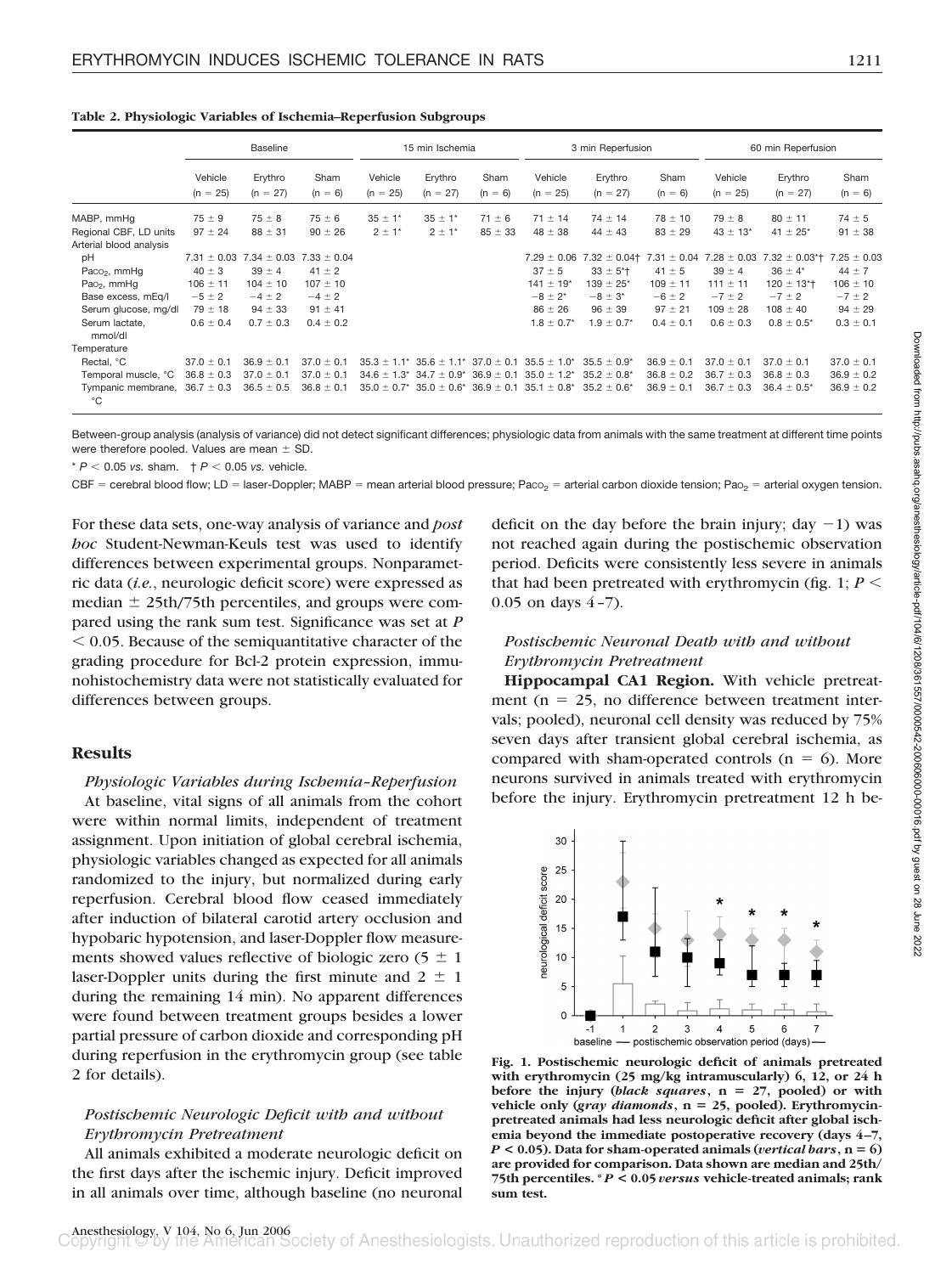|                                                   | <b>Baseline</b>       |                       | 15 min Ischemia   |                       |                                                  | 3 min Reperfusion |                           |                           | 60 min Reperfusion |                       |                                |                   |
|---------------------------------------------------|-----------------------|-----------------------|-------------------|-----------------------|--------------------------------------------------|-------------------|---------------------------|---------------------------|--------------------|-----------------------|--------------------------------|-------------------|
|                                                   | Vehicle<br>$(n = 25)$ | Erythro<br>$(n = 27)$ | Sham<br>$(n = 6)$ | Vehicle<br>$(n = 25)$ | Erythro<br>$(n = 27)$                            | Sham<br>$(n = 6)$ | Vehicle<br>$(n = 25)$     | Erythro<br>$(n = 27)$     | Sham<br>$(n = 6)$  | Vehicle<br>$(n = 25)$ | Erythro<br>$(n = 27)$          | Sham<br>$(n = 6)$ |
| MABP, mmHq                                        | $75 \pm 9$            | $75 \pm 8$            | $75 \pm 6$        | $35 \pm 1$ *          | $35 \pm 1$ *                                     | $71 \pm 6$        | $71 \pm 14$               | $74 \pm 14$               | $78 \pm 10$        | $79 \pm 8$            | $80 \pm 11$                    | $74 \pm 5$        |
| Regional CBF, LD units<br>Arterial blood analysis | $97 \pm 24$           | $88 \pm 31$           | $90 \pm 26$       | $2 \pm 1$ *           | $2 \pm 1$ *                                      | $85 \pm 33$       | $48 \pm 38$               | $44 \pm 43$               | $83 \pm 29$        | $43 \pm 13$ *         | $41 \pm 25$ *                  | $91 \pm 38$       |
| рH                                                | $7.31 \pm 0.03$       | $7.34 \pm 0.03$       | $7.33 \pm 0.04$   |                       |                                                  |                   | $7.29 \pm 0.06$           | $7.32 \pm 0.04$           | $7.31 \pm 0.04$    | $7.28 \pm 0.03$       | $7.32 \pm 0.03$ <sup>*</sup> t | $7.25 \pm 0.03$   |
| Paco <sub>2</sub> , mmHq                          | $40 \pm 3$            | $39 \pm 4$            | $41 \pm 2$        |                       |                                                  |                   | $37 \pm 5$                | $33 \pm 5$ <sup>*+</sup>  | $41 \pm 5$         | $39 \pm 4$            | $36 \pm 4^*$                   | $44 \pm 7$        |
| Pao <sub>2</sub> , mmHq                           | $106 \pm 11$          | $104 \pm 10$          | $107 \pm 10$      |                       |                                                  |                   | $141 \pm 19$ <sup>*</sup> | $139 \pm 25$ <sup>*</sup> | $109 \pm 11$       | $111 \pm 11$          | $120 \pm 13$ <sup>*</sup>      | $106 \pm 10$      |
| Base excess, mEq/l                                | $-5 \pm 2$            | $-4 \pm 2$            | $-4 \pm 2$        |                       |                                                  |                   | $-8 \pm 2^{*}$            | $-8 \pm 3^{*}$            | $-6 \pm 2$         | $-7 \pm 2$            | $-7 \pm 2$                     | $-7 \pm 2$        |
| Serum glucose, mg/dl                              | $79 \pm 18$           | $94 \pm 33$           | $91 \pm 41$       |                       |                                                  |                   | $86 \pm 26$               | $96 \pm 39$               | $97 \pm 21$        | $109 \pm 28$          | $108 \pm 40$                   | $94 \pm 29$       |
| Serum lactate,<br>mmol/dl                         | $0.6 \pm 0.4$         | $0.7 \pm 0.3$         | $0.4 \pm 0.2$     |                       |                                                  |                   | $1.8 \pm 0.7^*$           | $1.9 \pm 0.7$ *           | $0.4 \pm 0.1$      | $0.6 \pm 0.3$         | $0.8 \pm 0.5^*$                | $0.3 \pm 0.1$     |
| Temperature                                       |                       |                       |                   |                       |                                                  |                   |                           |                           |                    |                       |                                |                   |
| Rectal. °C                                        | $37.0 \pm 0.1$        | $36.9 \pm 0.1$        | $37.0 \pm 0.1$    |                       | $35.3 \pm 1.1^*$ $35.6 \pm 1.1^*$ $37.0 \pm 0.1$ |                   | $35.5 \pm 1.0^*$          | $35.5 \pm 0.9^*$          | $36.9 \pm 0.1$     | $37.0 \pm 0.1$        | $37.0 \pm 0.1$                 | $37.0 \pm 0.1$    |
| Temporal muscle, °C                               | $36.8 \pm 0.3$        | $37.0 \pm 0.1$        | $37.0 \pm 0.1$    |                       | $34.6 \pm 1.3$ $34.7 \pm 0.9$ <sup>*</sup>       | $36.9 \pm 0.1$    | $35.0 \pm 1.2^*$          | $35.2 \pm 0.8^*$          | $36.8 \pm 0.2$     | $36.7 \pm 0.3$        | $36.8 \pm 0.3$                 | $36.9 \pm 0.2$    |
| Tympanic membrane. $36.7 \pm 0.3$<br>$^{\circ}C$  |                       | $36.5 \pm 0.5$        | $36.8 \pm 0.1$    | $35.0 \pm 0.7^*$      | $35.0 \pm 0.6^*$                                 | $36.9 \pm 0.1$    | $35.1 \pm 0.8^*$          | $35.2 \pm 0.6^*$          | $36.9 \pm 0.1$     | $36.7 \pm 0.3$        | $36.4 \pm 0.5^*$               | $36.9 \pm 0.2$    |

**Table 2. Physiologic Variables of Ischemia–Reperfusion Subgroups**

Between-group analysis (analysis of variance) did not detect significant differences; physiologic data from animals with the same treatment at different time points were therefore pooled. Values are mean  $\pm$  SD.

 $* P < 0.05$  *vs.* sham.  $\uparrow P < 0.05$  *vs.* vehicle.

CBF = cerebral blood flow; LD = laser-Doppler; MABP = mean arterial blood pressure; Paco<sub>2</sub> = arterial carbon dioxide tension; Pao<sub>2</sub> = arterial oxygen tension.

For these data sets, one-way analysis of variance and *post hoc* Student-Newman-Keuls test was used to identify differences between experimental groups. Nonparametric data (*i.e.*, neurologic deficit score) were expressed as median  $\pm$  25th/75th percentiles, and groups were compared using the rank sum test. Significance was set at *P*  $0.05$ . Because of the semiquantitative character of the grading procedure for Bcl-2 protein expression, immunohistochemistry data were not statistically evaluated for differences between groups.

## **Results**

*Physiologic Variables during Ischemia–Reperfusion* At baseline, vital signs of all animals from the cohort were within normal limits, independent of treatment assignment. Upon initiation of global cerebral ischemia, physiologic variables changed as expected for all animals randomized to the injury, but normalized during early reperfusion. Cerebral blood flow ceased immediately after induction of bilateral carotid artery occlusion and hypobaric hypotension, and laser-Doppler flow measurements showed values reflective of biologic zero  $(5 \pm 1)$ laser-Doppler units during the first minute and  $2 \pm 1$ during the remaining 14 min). No apparent differences were found between treatment groups besides a lower partial pressure of carbon dioxide and corresponding pH during reperfusion in the erythromycin group (see table 2 for details).

# *Postischemic Neurologic Deficit with and without Erythromycin Pretreatment*

All animals exhibited a moderate neurologic deficit on the first days after the ischemic injury. Deficit improved in all animals over time, although baseline (no neuronal deficit on the day before the brain injury; day  $-1$ ) was not reached again during the postischemic observation period. Deficits were consistently less severe in animals that had been pretreated with erythromycin (fig. 1;  $P \leq$ 0.05 on days  $4-7$ ).

## *Postischemic Neuronal Death with and without Erythromycin Pretreatment*

**Hippocampal CA1 Region.** With vehicle pretreatment ( $n = 25$ , no difference between treatment intervals; pooled), neuronal cell density was reduced by 75% seven days after transient global cerebral ischemia, as compared with sham-operated controls  $(n = 6)$ . More neurons survived in animals treated with erythromycin before the injury. Erythromycin pretreatment 12 h be-



**Fig. 1. Postischemic neurologic deficit of animals pretreated with erythromycin (25 mg/kg intramuscularly) 6, 12, or 24 h before the injury (***black squares***, n 27, pooled) or with vehicle only (***gray diamonds***, n 25, pooled). Erythromycinpretreated animals had less neurologic deficit after global ischemia beyond the immediate postoperative recovery (days 4 –7,**  $P < 0.05$ ). Data for sham-operated animals (*vertical bars*,  $n = 6$ ) **are provided for comparison. Data shown are median and 25th/ 75th percentiles. \*** *P* **< 0.05** *versus* **vehicle-treated animals; rank sum test.**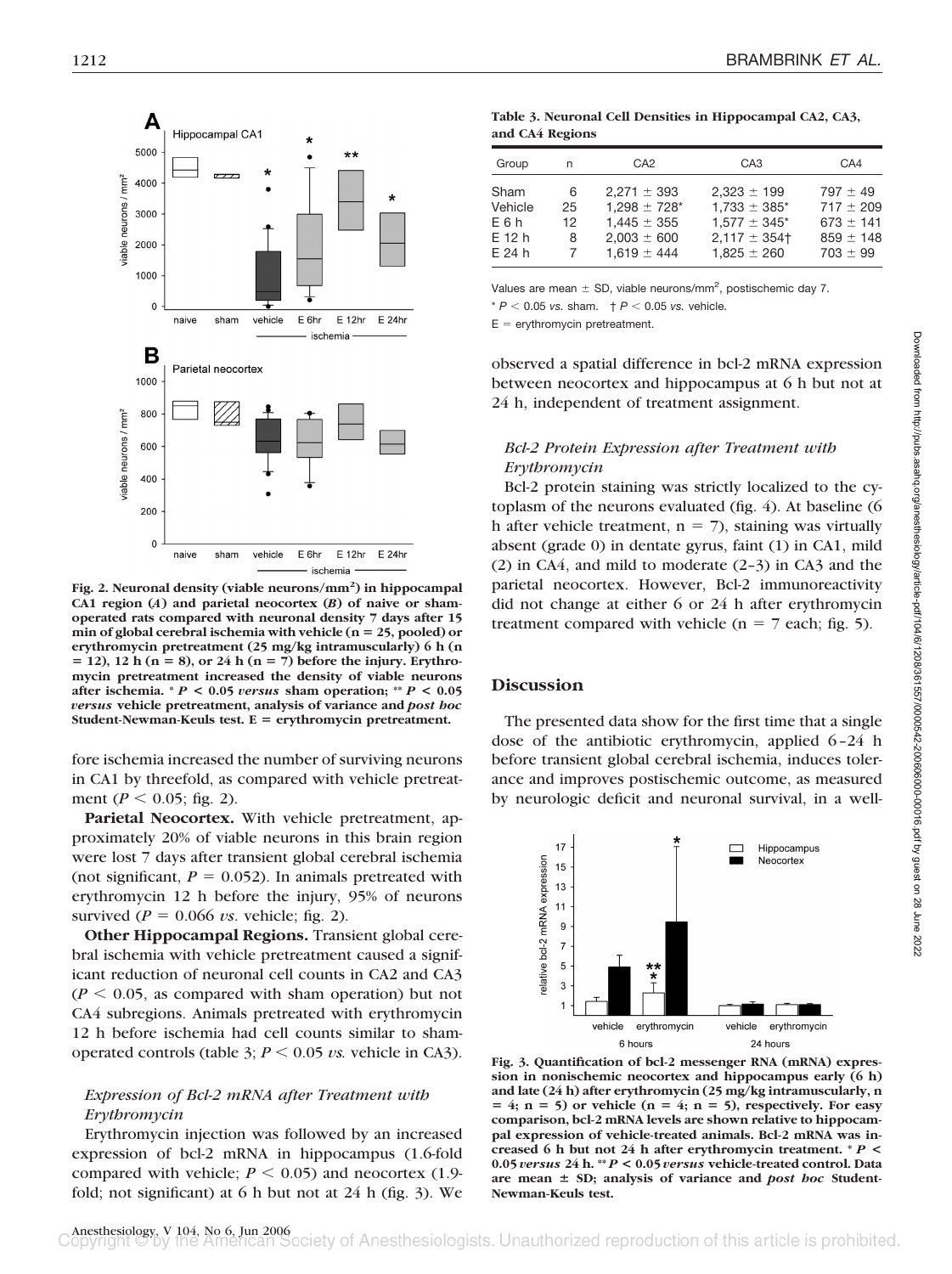

**Fig. 2. Neuronal density (viable neurons/mm2 ) in hippocampal CA1 region (***A***) and parietal neocortex (***B***) of naive or shamoperated rats compared with neuronal density 7 days after 15 min of global cerebral ischemia with vehicle (n 25, pooled) or erythromycin pretreatment (25 mg/kg intramuscularly) 6 h (n 12), 12 h (n 8), or 24 h (n 7) before the injury. Erythromycin pretreatment increased the density of viable neurons after ischemia. \*** *P* **< 0.05** *versus* **sham operation; \*\*** *P* **< 0.05** *versus* **vehicle pretreatment, analysis of variance and** *post hoc* **Student-Newman-Keuls test. E erythromycin pretreatment.**

fore ischemia increased the number of surviving neurons in CA1 by threefold, as compared with vehicle pretreatment ( $P < 0.05$ ; fig. 2).

**Parietal Neocortex.** With vehicle pretreatment, approximately 20% of viable neurons in this brain region were lost 7 days after transient global cerebral ischemia (not significant,  $P = 0.052$ ). In animals pretreated with erythromycin 12 h before the injury, 95% of neurons survived  $(P = 0.066 \text{ vs. vehicle};$  fig. 2).

**Other Hippocampal Regions.** Transient global cerebral ischemia with vehicle pretreatment caused a significant reduction of neuronal cell counts in CA2 and CA3  $(P < 0.05$ , as compared with sham operation) but not CA4 subregions. Animals pretreated with erythromycin 12 h before ischemia had cell counts similar to shamoperated controls (table 3;  $P \le 0.05 \text{ vs.}$  vehicle in CA3).

## *Expression of Bcl-2 mRNA after Treatment with Erythromycin*

Erythromycin injection was followed by an increased expression of bcl-2 mRNA in hippocampus (1.6-fold compared with vehicle;  $P \leq 0.05$ ) and neocortex (1.9fold; not significant) at 6 h but not at 24 h (fig. 3). We

| Table 3. Neuronal Cell Densities in Hippocampal CA2, CA3, |  |
|-----------------------------------------------------------|--|
| and CA4 Regions                                           |  |

| Group<br>n                                                              | CA <sub>2</sub>                                                                               | CA <sub>3</sub>                                                                                            | CA4                                                                             |
|-------------------------------------------------------------------------|-----------------------------------------------------------------------------------------------|------------------------------------------------------------------------------------------------------------|---------------------------------------------------------------------------------|
| Sham<br>6<br>Vehicle<br>25<br>E6h<br>12<br>E 12 h<br>8<br>$E$ 24 h<br>7 | $2.271 \pm 393$<br>$1.298 \pm 728$ *<br>$1.445 \pm 355$<br>$2.003 \pm 600$<br>$1.619 \pm 444$ | $2.323 \pm 199$<br>$1.733 \pm 385$ *<br>$1.577 \pm 345$ <sup>*</sup><br>$2.117 \pm 354$<br>$1.825 \pm 260$ | $797 \pm 49$<br>$717 \pm 209$<br>$673 \pm 141$<br>$859 \pm 148$<br>$703 \pm 99$ |

Values are mean  $\pm$  SD, viable neurons/mm<sup>2</sup>, postischemic day 7.

 $* P < 0.05$  *vs.* sham.  $\uparrow P < 0.05$  *vs.* vehicle.

 $E =$  erythromycin pretreatment.

observed a spatial difference in bcl-2 mRNA expression between neocortex and hippocampus at 6 h but not at 24 h, independent of treatment assignment.

# *Bcl-2 Protein Expression after Treatment with Erythromycin*

Bcl-2 protein staining was strictly localized to the cytoplasm of the neurons evaluated (fig. 4). At baseline (6 h after vehicle treatment,  $n = 7$ ), staining was virtually absent (grade 0) in dentate gyrus, faint (1) in CA1, mild (2) in CA4, and mild to moderate (2–3) in CA3 and the parietal neocortex. However, Bcl-2 immunoreactivity did not change at either 6 or 24 h after erythromycin treatment compared with vehicle ( $n = 7$  each; fig. 5).

## **Discussion**

The presented data show for the first time that a single dose of the antibiotic erythromycin, applied 6–24 h before transient global cerebral ischemia, induces tolerance and improves postischemic outcome, as measured by neurologic deficit and neuronal survival, in a well-



**Fig. 3. Quantification of bcl-2 messenger RNA (mRNA) expression in nonischemic neocortex and hippocampus early (6 h) and late (24 h) after erythromycin (25 mg/kg intramuscularly, n**  $= 4$ ;  $n = 5$ ) or vehicle ( $n = 4$ ;  $n = 5$ ), respectively. For easy **comparison, bcl-2 mRNA levels are shown relative to hippocampal expression of vehicle-treated animals. Bcl-2 mRNA was increased 6 h but not 24 h after erythromycin treatment. \*** *P* **< 0.05** *versus* **24 h. \*\*** *P* **< 0.05** *versus* **vehicle-treated control. Data** are mean  $\pm$  SD; analysis of variance and *post hoc* Student-**Newman-Keuls test.**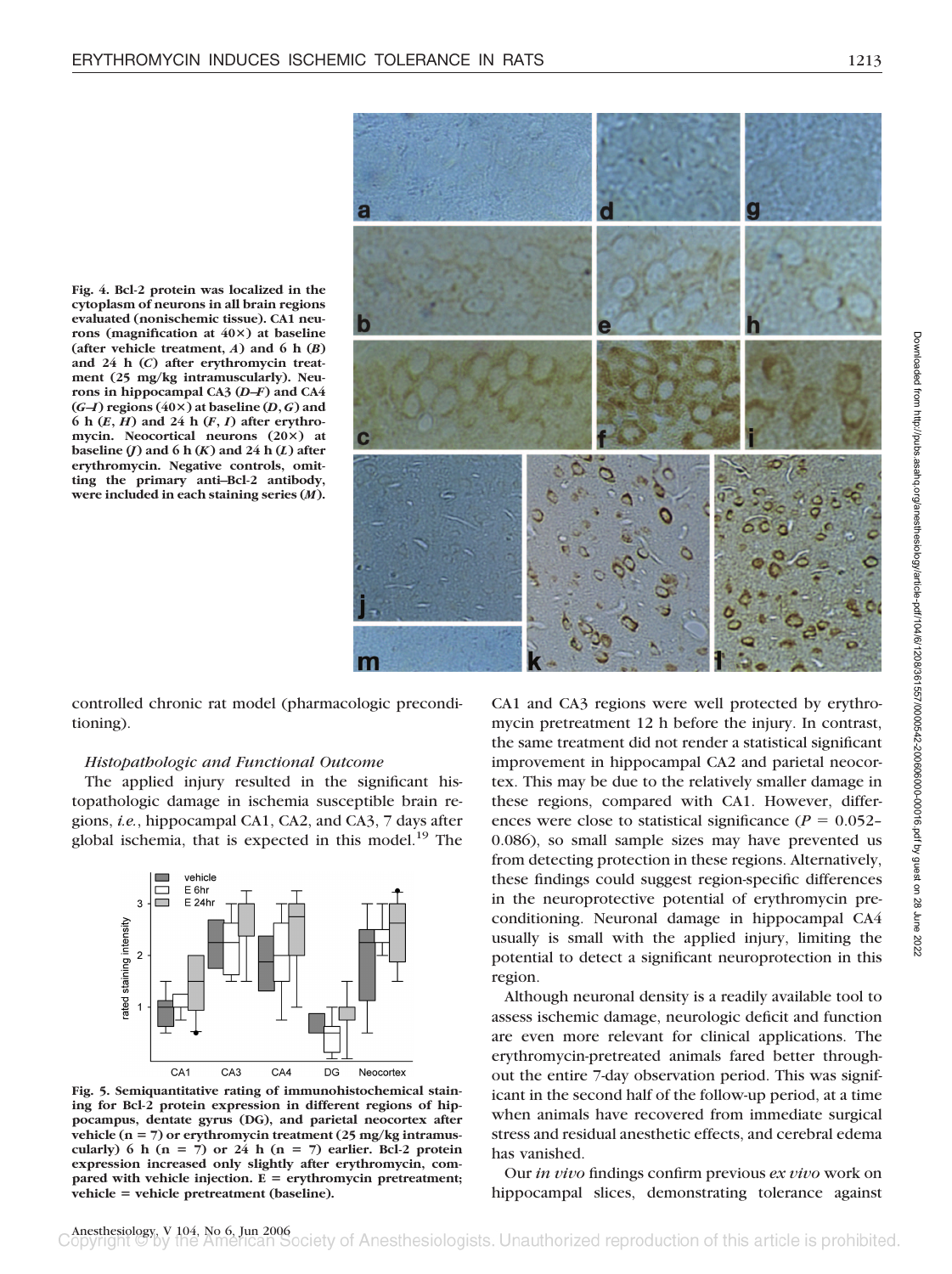



controlled chronic rat model (pharmacologic preconditioning).

#### *Histopathologic and Functional Outcome*

The applied injury resulted in the significant histopathologic damage in ischemia susceptible brain regions, *i.e.*, hippocampal CA1, CA2, and CA3, 7 days after global ischemia, that is expected in this model. $^{19}$  The



**Fig. 5. Semiquantitative rating of immunohistochemical staining for Bcl-2 protein expression in different regions of hippocampus, dentate gyrus (DG), and parietal neocortex after** vehicle (n = 7) or erythromycin treatment (25 mg/kg intramuscularly) 6 h  $(n = 7)$  or 24 h  $(n = 7)$  earlier. Bcl-2 protein **expression increased only slightly after erythromycin, compared with vehicle injection. E erythromycin pretreatment; vehicle vehicle pretreatment (baseline).**

CA1 and CA3 regions were well protected by erythromycin pretreatment 12 h before the injury. In contrast, the same treatment did not render a statistical significant improvement in hippocampal CA2 and parietal neocortex. This may be due to the relatively smaller damage in these regions, compared with CA1. However, differences were close to statistical significance ( $P = 0.052-$ 0.086), so small sample sizes may have prevented us from detecting protection in these regions. Alternatively, these findings could suggest region-specific differences in the neuroprotective potential of erythromycin preconditioning. Neuronal damage in hippocampal CA4 usually is small with the applied injury, limiting the potential to detect a significant neuroprotection in this region.

Although neuronal density is a readily available tool to assess ischemic damage, neurologic deficit and function are even more relevant for clinical applications. The erythromycin-pretreated animals fared better throughout the entire 7-day observation period. This was significant in the second half of the follow-up period, at a time when animals have recovered from immediate surgical stress and residual anesthetic effects, and cerebral edema has vanished.

Our *in vivo* findings confirm previous *ex vivo* work on hippocampal slices, demonstrating tolerance against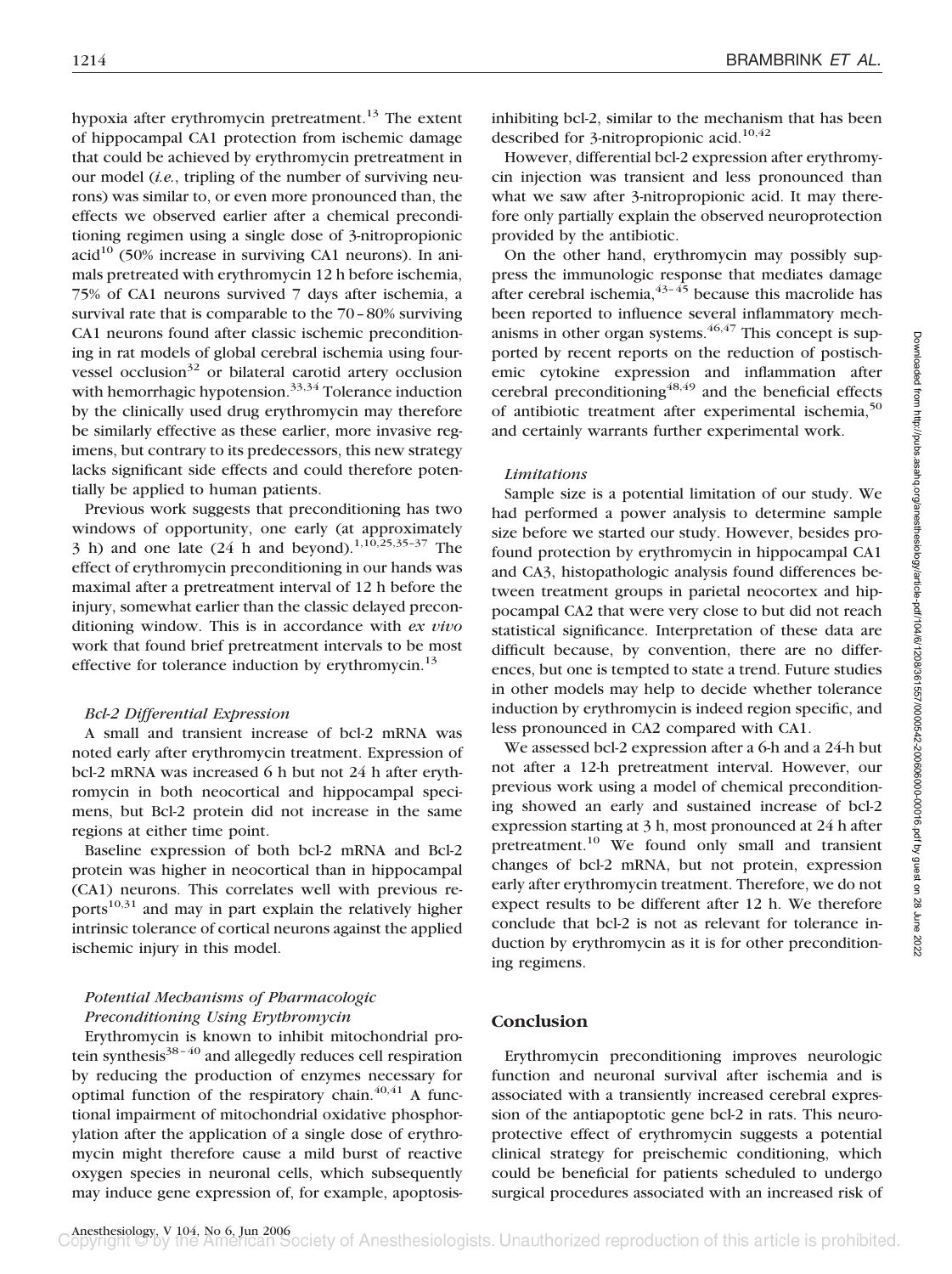hypoxia after erythromycin pretreatment.<sup>13</sup> The extent of hippocampal CA1 protection from ischemic damage that could be achieved by erythromycin pretreatment in our model (*i.e.*, tripling of the number of surviving neurons) was similar to, or even more pronounced than, the effects we observed earlier after a chemical preconditioning regimen using a single dose of 3-nitropropionic  $\text{acid}^{10}$  (50% increase in surviving CA1 neurons). In animals pretreated with erythromycin 12 h before ischemia, 75% of CA1 neurons survived 7 days after ischemia, a survival rate that is comparable to the 70–80% surviving CA1 neurons found after classic ischemic preconditioning in rat models of global cerebral ischemia using fourvessel occlusion<sup>32</sup> or bilateral carotid artery occlusion with hemorrhagic hypotension.<sup>33,34</sup> Tolerance induction by the clinically used drug erythromycin may therefore be similarly effective as these earlier, more invasive regimens, but contrary to its predecessors, this new strategy lacks significant side effects and could therefore potentially be applied to human patients.

Previous work suggests that preconditioning has two windows of opportunity, one early (at approximately 3 h) and one late  $(24 \text{ h and beyond}).^{1,10,25,35-37}$  The effect of erythromycin preconditioning in our hands was maximal after a pretreatment interval of 12 h before the injury, somewhat earlier than the classic delayed preconditioning window. This is in accordance with *ex vivo* work that found brief pretreatment intervals to be most effective for tolerance induction by erythromycin.<sup>13</sup>

#### *Bcl-2 Differential Expression*

A small and transient increase of bcl-2 mRNA was noted early after erythromycin treatment. Expression of bcl-2 mRNA was increased 6 h but not 24 h after erythromycin in both neocortical and hippocampal specimens, but Bcl-2 protein did not increase in the same regions at either time point.

Baseline expression of both bcl-2 mRNA and Bcl-2 protein was higher in neocortical than in hippocampal (CA1) neurons. This correlates well with previous reports $10,31$  and may in part explain the relatively higher intrinsic tolerance of cortical neurons against the applied ischemic injury in this model.

## *Potential Mechanisms of Pharmacologic Preconditioning Using Erythromycin*

Erythromycin is known to inhibit mitochondrial protein synthesis $38-40$  and allegedly reduces cell respiration by reducing the production of enzymes necessary for optimal function of the respiratory chain. $40,41$  A functional impairment of mitochondrial oxidative phosphorylation after the application of a single dose of erythromycin might therefore cause a mild burst of reactive oxygen species in neuronal cells, which subsequently may induce gene expression of, for example, apoptosisinhibiting bcl-2, similar to the mechanism that has been described for 3-nitropropionic acid.<sup>10,42</sup>

However, differential bcl-2 expression after erythromycin injection was transient and less pronounced than what we saw after 3-nitropropionic acid. It may therefore only partially explain the observed neuroprotection provided by the antibiotic.

On the other hand, erythromycin may possibly suppress the immunologic response that mediates damage after cerebral ischemia,  $43 - 45$  because this macrolide has been reported to influence several inflammatory mechanisms in other organ systems.  $46,47$  This concept is supported by recent reports on the reduction of postischemic cytokine expression and inflammation after cerebral preconditioning $48,49$  and the beneficial effects of antibiotic treatment after experimental ischemia,<sup>50</sup> and certainly warrants further experimental work.

#### *Limitations*

Sample size is a potential limitation of our study. We had performed a power analysis to determine sample size before we started our study. However, besides profound protection by erythromycin in hippocampal CA1 and CA3, histopathologic analysis found differences between treatment groups in parietal neocortex and hippocampal CA2 that were very close to but did not reach statistical significance. Interpretation of these data are difficult because, by convention, there are no differences, but one is tempted to state a trend. Future studies in other models may help to decide whether tolerance induction by erythromycin is indeed region specific, and less pronounced in CA2 compared with CA1.

We assessed bcl-2 expression after a 6-h and a 24-h but not after a 12-h pretreatment interval. However, our previous work using a model of chemical preconditioning showed an early and sustained increase of bcl-2 expression starting at 3 h, most pronounced at 24 h after pretreatment.<sup>10</sup> We found only small and transient changes of bcl-2 mRNA, but not protein, expression early after erythromycin treatment. Therefore, we do not expect results to be different after 12 h. We therefore conclude that bcl-2 is not as relevant for tolerance induction by erythromycin as it is for other preconditioning regimens.

## **Conclusion**

Erythromycin preconditioning improves neurologic function and neuronal survival after ischemia and is associated with a transiently increased cerebral expression of the antiapoptotic gene bcl-2 in rats. This neuroprotective effect of erythromycin suggests a potential clinical strategy for preischemic conditioning, which could be beneficial for patients scheduled to undergo surgical procedures associated with an increased risk of